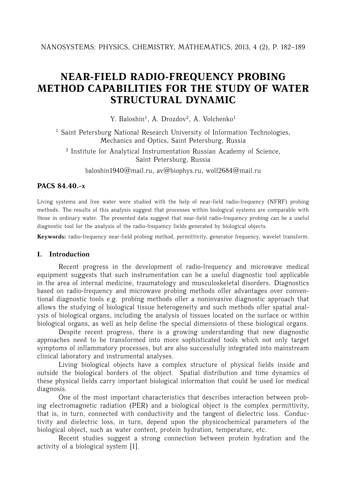# **NEAR-FIELD RADIO-FREQUENCY PROBING METHOD CAPABILITIES FOR THE STUDY OF WATER STRUCTURAL DYNAMIC**

Y. Baloshin<sup>1</sup>, A. Drozdov<sup>2</sup>, A. Volchenko<sup>1</sup>

<sup>1</sup> Saint Petersburg National Research University of Information Technologies, Mechanics and Optics, Saint Petersburg, Russia

<sup>2</sup> Institute for Analytical Instrumentation Russian Academy of Science, Saint Petersburg, Russia

baloshin1940@mail.ru, av@biophys.ru, wolf2684@mail.ru

#### **PACS 84.40.-x**

Living systems and free water were studied with the help of near-field radio-frequency (NFRF) probing methods. The results of this analysis suggest that processes within biological systems are comparable with those in ordinary water. The presented data suggest that near-field radio-frequency probing can be a useful diagnostic tool for the analysis of the radio-frequency fields generated by biological objects.

**Keywords:** radio-frequency near-field probing method, permittivity, generator frequency, wavelet transform.

### **1. Introduction**

Recent progress in the development of radio-frequency and microwave medical equipment suggests that such instrumentation can be a useful diagnostic tool applicable in the area of internal medicine, traumatology and musculoskeletal disorders. Diagnostics based on radio-frequency and microwave probing methods offer advantages over conventional diagnostic tools e.g. probing methods offer a noninvasive diagnostic approach that allows the studying of biological tissue heterogeneity and such methods offer spatial analysis of biological organs, including the analysis of tissues located on the surface or within biological organs, as well as help define the special dimensions of these biological organs.

Despite recent progress, there is a growing understanding that new diagnostic approaches need to be transformed into more sophisticated tools which not only target symptoms of inflammatory processes, but are also successfully integrated into mainstream clinical laboratory and instrumental analyses.

Living biological objects have a complex structure of physical fields inside and outside the biological borders of the object. Spatial distribution and time dynamics of these physical fields carry important biological information that could be used for medical diagnosis.

One of the most important characteristics that describes interaction between probing electromagnetic radiation (PER) and a biological object is the complex permittivity, that is, in turn, connected with conductivity and the tangent of dielectric loss. Conductivity and dielectric loss, in turn, depend upon the physicochemical parameters of the biological object, such as water content, protein hydration, temperature, etc.

Recent studies suggest a strong connection between protein hydration and the activity of a biological system [1].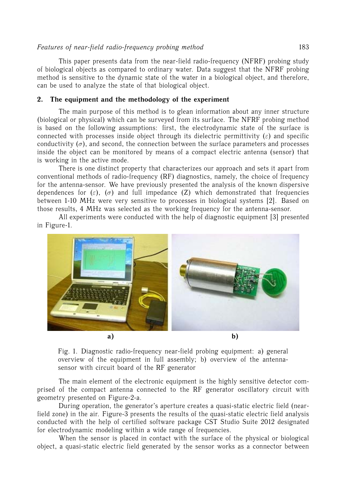#### *Features of near-field radio-frequency probing method* 183

This paper presents data from the near-field radio-frequency (NFRF) probing study of biological objects as compared to ordinary water. Data suggest that the NFRF probing method is sensitive to the dynamic state of the water in a biological object, and therefore, can be used to analyze the state of that biological object.

### **2. The equipment and the methodology of the experiment**

The main purpose of this method is to glean information about any inner structure (biological or physical) which can be surveyed from its surface. The NFRF probing method is based on the following assumptions: first, the electrodynamic state of the surface is connected with processes inside object through its dielectric permittivity  $(\varepsilon)$  and specific conductivity  $(\sigma)$ , and second, the connection between the surface parameters and processes inside the object can be monitored by means of a compact electric antenna (sensor) that is working in the active mode.

There is one distinct property that characterizes our approach and sets it apart from conventional methods of radio-frequency (RF) diagnostics, namely, the choice of frequency for the antenna-sensor. We have previously presented the analysis of the known dispersive dependences for ( $\varepsilon$ ), ( $\sigma$ ) and full impedance (Z) which demonstrated that frequencies between 1-10 MHz were very sensitive to processes in biological systems [2]. Based on those results, 4 MHz was selected as the working frequency for the antenna-sensor.

All experiments were conducted with the help of diagnostic equipment [3] presented in Figure-1.



Fig. 1. Diagnostic radio-frequency near-field probing equipment: a) general overview of the equipment in full assembly; b) overview of the antennasensor with circuit board of the RF generator

The main element of the electronic equipment is the highly sensitive detector comprised of the compact antenna connected to the RF generator oscillatory circuit with geometry presented on Figure-2-a.

During operation, the generator's aperture creates a quasi-static electric field (nearfield zone) in the air. Figure-3 presents the results of the quasi-static electric field analysis conducted with the help of certified software package CST Studio Suite 2012 designated for electrodynamic modeling within a wide range of frequencies.

When the sensor is placed in contact with the surface of the physical or biological object, a quasi-static electric field generated by the sensor works as a connector between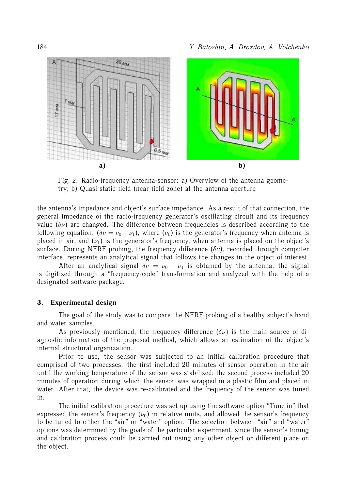

Fig. 2. Radio-frequency antenna-sensor: a) Overview of the antenna geometry; b) Quasi-static field (near-field zone) at the antenna aperture

the antenna's impedance and object's surface impedance. As a result of that connection, the general impedance of the radio-frequency generator's oscillating circuit and its frequency value ( $\delta \nu$ ) are changed. The difference between frequencies is described according to the following equation:  $(\delta \nu = \nu_0 - \nu_1)$ , where  $(\nu_0)$  is the generator's frequency when antenna is placed in air, and  $(\nu_1)$  is the generator's frequency, when antenna is placed on the object's surface. During NFRF probing, the frequency difference  $(\delta \nu)$ , recorded through computer interface, represents an analytical signal that follows the changes in the object of interest.

After an analytical signal  $\delta \nu = \nu_0 - \nu_1$  is obtained by the antenna, the signal is digitized through a "frequency-code" transformation and analyzed with the help of a designated software package.

# **3. Experimental design**

The goal of the study was to compare the NFRF probing of a healthy subject's hand and water samples.

As previously mentioned, the frequency difference  $(\delta \nu)$  is the main source of diagnostic information of the proposed method, which allows an estimation of the object's internal structural organization.

Prior to use, the sensor was subjected to an initial calibration procedure that comprised of two processes: the first included 20 minutes of sensor operation in the air until the working temperature of the sensor was stabilized; the second process included 20 minutes of operation during which the sensor was wrapped in a plastic film and placed in water. After that, the device was re-calibrated and the frequency of the sensor was tuned in.

The initial calibration procedure was set up using the software option "Tune in" that expressed the sensor's frequency  $(\nu_0)$  in relative units, and allowed the sensor's frequency to be tuned to either the "air" or "water" option. The selection between "air" and "water" options was determined by the goals of the particular experiment, since the sensor's tuning and calibration process could be carried out using any other object or different place on the object.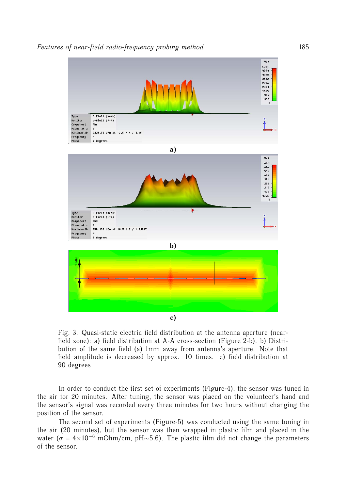

Fig. 3. Quasi-static electric field distribution at the antenna aperture (nearfield zone): a) field distribution at A-A cross-section (Figure 2-b). b) Distribution of the same field (a) 1mm away from antenna's aperture. Note that field amplitude is decreased by approx. 10 times. c) field distribution at 90 degrees

In order to conduct the first set of experiments (Figure-4), the sensor was tuned in the air for 20 minutes. After tuning, the sensor was placed on the volunteer's hand and the sensor's signal was recorded every three minutes for two hours without changing the position of the sensor.

The second set of experiments (Figure-5) was conducted using the same tuning in the air (20 minutes), but the sensor was then wrapped in plastic film and placed in the water ( $\sigma = 4 \times 10^{-6}$  mOhm/cm, pH~5.6). The plastic film did not change the parameters of the sensor.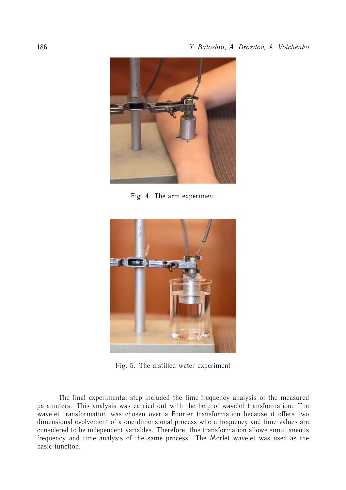

Fig. 4. The arm experiment



Fig. 5. The distilled water experiment

The final experimental step included the time-frequency analysis of the measured parameters. This analysis was carried out with the help of wavelet transformation. The wavelet transformation was chosen over a Fourier transformation because it offers two dimensional evolvement of a one-dimensional process where frequency and time values are considered to be independent variables. Therefore, this transformation allows simultaneous frequency and time analysis of the same process. The Morlet wavelet was used as the basic function.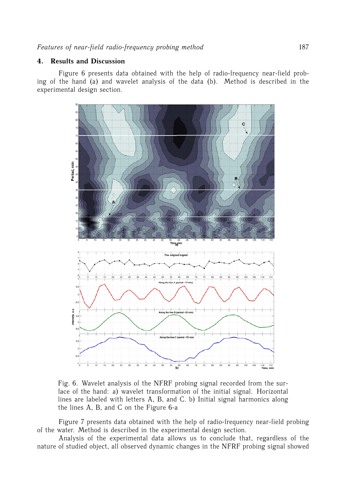## **4. Results and Discussion**

Figure 6 presents data obtained with the help of radio-frequency near-field probing of the hand (a) and wavelet analysis of the data (b). Method is described in the experimental design section.



Fig. 6. Wavelet analysis of the NFRF probing signal recorded from the surface of the hand: a) wavelet transformation of the initial signal. Horizontal lines are labeled with letters A, B, and C. b) Initial signal harmonics along the lines A, B, and C on the Figure 6-a

Figure 7 presents data obtained with the help of radio-frequency near-field probing of the water. Method is described in the experimental design section.

Analysis of the experimental data allows us to conclude that, regardless of the nature of studied object, all observed dynamic changes in the NFRF probing signal showed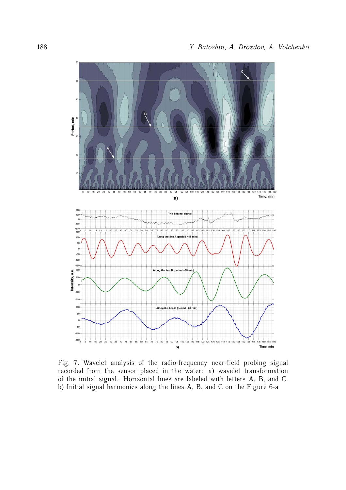

Fig. 7. Wavelet analysis of the radio-frequency near-field probing signal recorded from the sensor placed in the water: a) wavelet transformation of the initial signal. Horizontal lines are labeled with letters A, B, and C. b) Initial signal harmonics along the lines A, B, and C on the Figure 6-a